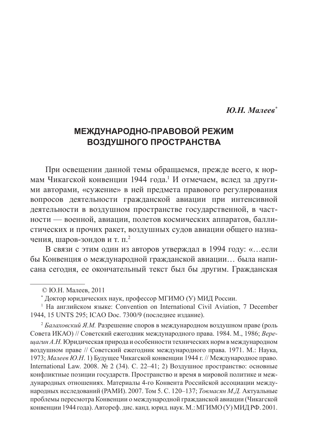**Ю.Н. Малеев**<sup>\*</sup>

## МЕЖДУНАРОДНО-ПРАВОВОЙ РЕЖИМ **ВОЗДУШНОГО ПРОСТРАНСТВА**

При освещении данной темы обращаемся, прежде всего, к нормам Чикагской конвенции 1944 года.<sup>1</sup> И отмечаем, вслед за другими авторами, «сужение» в ней предмета правового регулирования вопросов деятельности гражданской авиации при интенсивной деятельности в воздушном пространстве государственной, в частности — военной, авиации, полетов космических аппаратов, баллистических и прочих ракет, воздушных судов авиации общего назначения, шаров-зондов и т. п.<sup>2</sup>

В связи с этим один из авторов утверждал в 1994 году: «...если бы Конвенция о международной гражданской авиации... была написана сегодня, ее окончательный текст был бы другим. Гражданская

<sup>©</sup> Ю.Н. Малеев, 2011

 $*$  Доктор юридических наук, профессор МГИМО (У) МИД России.

<sup>&</sup>lt;sup>1</sup> На английском языке: Convention on International Civil Aviation, 7 December 1944, 15 UNTS 295; ICAO Doc. 7300/9 (последнее издание).

<sup>&</sup>lt;sup>2</sup> Балаховский Я.М. Разрешение споров в международном воздушном праве (роль Совета ИКАО) // Советский ежегодник международного права. 1984. М., 1986; Вере*шагин А.Н.* Юридическая природа и особенности технических норм в международном воздушном праве // Советский ежегодник международного права. 1971. М.: Наука, 1973; *Малеев Ю.Н.* 1) Будущее Чикагской конвенции 1944 г. // Международное право. International Law. 2008. № 2 (34). С. 22–41; 2) Воздушное пространство: основные конфликтные позиции государств. Пространство и время в мировой политике и международных отношениях. Материалы 4-го Конвента Российской ассоциации международных исследований (РАМИ). 2007. Том 5. С. 120–137; *Товмасян М.Д.* Актуальные проблемы пересмотра Конвенции о международной гражданской авиации (Чикагской конвенции 1944 года). Автореф. дис. канд. юрид. наук. М.: МГИМО (У) МИД РФ. 2001.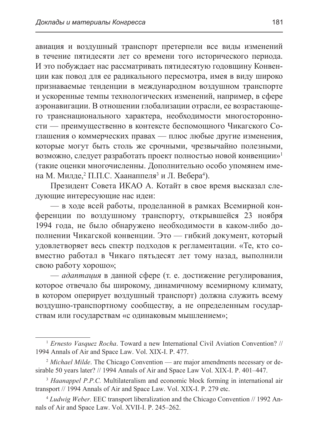авиация и воздушный транспорт претерпели все виды изменений в течение пятидесяти лет со времени того исторического периода. И это побуждает нас рассматривать пятидесятую годовщину Конвенции как повод для ее радикального пересмотра, имея в виду широко признаваемые тенденции в международном воздушном транспорте и ускоренные темпы технологических изменений, например, в сфере аэронавигации. В отношении глобализации отрасли, ее возрастающего транснационального характера, необходимости многосторонности — преимущественно в контексте беспомощного Чикагского Соглашения о коммерческих правах — плюс любые другие изменения, которые могут быть столь же срочными, чрезвычайно полезными, возможно, следует разработать проект полностью новой конвенции»<sup>1</sup> (такие оценки многочисленны. Дополнительно особо упомянем имена М. Милде,<sup>2</sup> П.П.С. Хаанаппеля<sup>3</sup> и Л. Вебера<sup>4</sup>).

Президент Совета ИКАО А. Котайт в свое время высказал следующие интересующие нас идеи:

— в ходе всей работы, проделанной в рамках Всемирной конференции по воздушному транспорту, открывшейся 23 ноября 1994 года, не было обнаружено необходимости в каком-либо дополнении Чикагской конвенции. Это — гибкий документ, который удовлетворяет весь спектр подходов к регламентации. «Те, кто совместно работал в Чикаго пятьдесят лет тому назад, выполнили свою работу хорошо»;

— адаптация в данной сфере (т. е. достижение регулирования, которое отвечало бы широкому, динамичному всемирному климату, в котором оперирует воздушный транспорт) должна служить всему воздушно-транспортному сообществу, а не определенным государствам или государствам «с одинаковым мышлением»;

<sup>1</sup> *Ernesto Vasquez Rocha*. Toward a new International Civil Aviation Convention? // 1994 Annals of Air and Space Law. Vol. XIX-I. P. 477.

<sup>&</sup>lt;sup>2</sup> *Michael Milde*. The Chicago Convention — are major amendments necessary or desirable 50 years later? // 1994 Annals of Air and Space Law Vol. XIX-I. P. 401–447.

<sup>&</sup>lt;sup>3</sup> *Haanappel P.P.C.* Multilateralism and economic block forming in international air transport // 1994 Annals of Air and Space Law. Vol. XIX-I. P. 279 etc.

<sup>4</sup> *Ludwig Weber.* EEC transport liberalization and the Chicago Convention // 1992 Annals of Air and Space Law. Vol. XVII-I. P. 245–262.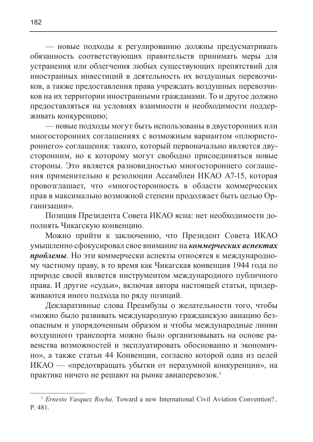— новые подходы к регулированию должны предусматривать обязанность соответствующих правительств принимать меры для устранения или облегчения любых существующих препятствий для иностранных инвестиций в деятельность их воздушных перевозчиков, а также предоставления права учреждать воздушных перевозчиков на их территории иностранными гражданами. То и другое должно предоставляться на условиях взаимности и необходимости поддерживать конкуренцию;

— новые подходы могут быть использованы в двусторонних или многосторонних соглашениях с возможным вариантом «плюристороннего» соглашения: такого, который первоначально является двусторонним, но к которому могут свободно присоединяться новые стороны. Это является разновидностью многостороннего соглашения применительно к резолюции Ассамблеи ИКАО А7-15, которая провозглашает, что «многосторонность в области коммерческих прав в максимально возможной степени продолжает быть целью Организации».

Позиция Президента Совета ИКАО ясна: нет необходимости дополнять Чикагскую конвенцию.

Можно прийти к заключению, что Президент Совета ИКАО умышленно сфокусировал свое внимание на коммерческих аспектах проблемы. Но эти коммерчески аспекты относятся к международному частному праву, в то время как Чикагская конвенция 1944 года по природе своей является инструментом международного публичного права. И другие «судьи», включая автора настоящей статьи, придерживаются иного подхода по ряду позиций.

Декларативные слова Преамбулы о желательности того, чтобы «можно было развивать международную гражданскую авиацию безопасным и упорядоченным образом и чтобы международные линии воздушного транспорта можно было организовывать на основе равенства возможностей и эксплуатировать обоснованно и экономично», а также статьи 44 Конвенции, согласно которой одна из целей ИКАО — «предотвращать убытки от неразумной конкуренции», на практике ничего не решают на рынке авиаперевозок.<sup>1</sup>

<sup>&</sup>lt;sup>1</sup> *Ernesto Vasquez Rocha*. Toward a new International Civil Aviation Convention?.. P 481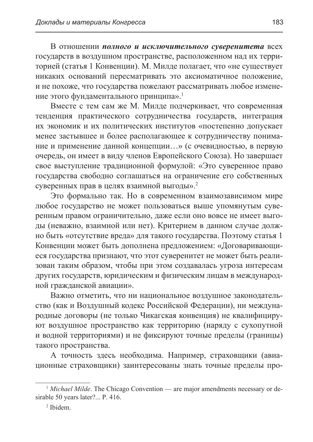В отношении полного и исключительного суверенитета всех государств в воздушном пространстве, расположенном над их территорией (статья 1 Конвенции). М. Милде полагает, что «не существует никаких оснований пересматривать это аксиоматичное положение, и не похоже, что государства пожелают рассматривать любое изменение этого фундаментального принципа».<sup>1</sup>

Вместе с тем сам же М. Милде подчеркивает, что современная тенденция практического сотрудничества государств, интеграция их экономик и их политических институтов «постепенно допускает менее застывшее и более располагающее к сотрудничеству понимание и применение данной концепции...» (с очевидностью, в первую очередь, он имеет в виду членов Европейского Союза). Но завершает свое выступление традиционной формулой: «Это суверенное право государства свободно соглашаться на ограничение его собственных суверенных прав в целях взаимной выгоды».<sup>2</sup>

Это формально так. Но в современном взаимозависимом мире любое государство не может пользоваться выше упомянутым суверенным правом ограничительно, даже если оно вовсе не имеет выгоды (неважно, взаимной или нет). Критерием в данном случае должно быть «отсутствие вреда» для такого государства. Поэтому статья 1 Конвенции может быть дополнена предложением: «Договаривающиеся государства признают, что этот суверенитет не может быть реализован таким образом, чтобы при этом создавалась угроза интересам других государств, юридическим и физическим лицам в международной гражданской авиации».

Важно отметить, что ни национальное воздушное законодательство (как и Воздушный кодекс Российской Федерации), ни международные договоры (не только Чикагская конвенция) не квалифицируют воздушное пространство как территорию (наряду с сухопутной и водной территориями) и не фиксируют точные пределы (границы) такого пространства.

А точность здесь необходима. Например, страховщики (авиационные страховщики) заинтересованы знать точные пределы про-

<sup>&</sup>lt;sup>1</sup> *Michael Milde*. The Chicago Convention — are major amendments necessary or desirable 50 years later?... P. 416.

<sup>2</sup> Ibidem.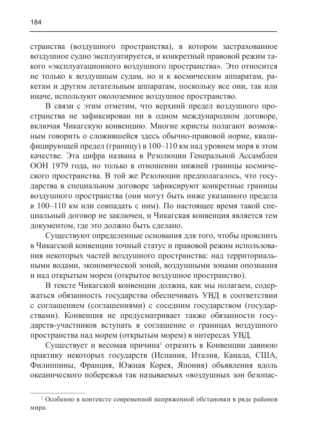странства (воздушного пространства), в котором застрахованное воздушное судно эксплуатируется, и конкретный правовой режим такого «эксплуатационного воздушного пространства». Это относится не только к воздушным судам, но и к космическим аппаратам, ракетам и другим летательным аппаратам, поскольку все они, так или иначе, используют околоземное воздушное пространство.

В связи с этим отметим, что верхний предел воздушного пространства не зафиксирован ни в одном международном договоре, включая Чикагскую конвенцию. Многие юристы полагают возможным говорить о сложившейся здесь обычно-правовой норме, квалифицирующей предел (границу) в 100–110 км над уровнем моря в этом качестве. Эта цифра названа в Резолюции Генеральной Ассамблеи ООН 1979 года, но только в отношении нижней границы космического пространства. В той же Резолюции предполагалось, что государства в специальном договоре зафиксируют конкретные границы воздушного пространства (они могут быть ниже указанного предела в 100–110 км или совпадать с ним). По настоящее время такой специальный договор не заключен, и Чикагская конвенция является тем документом, где это должно быть сделано.

Существуют определенные основания для того, чтобы прояснить в Чикагской конвенции точный статус и правовой режим использования некоторых частей воздушного пространства: над территориальными водами, экономической зоной, воздушными зонами опознания и над открытым морем (открытое воздушное пространство).

В тексте Чикагской конвенции должна, как мы полагаем, содержаться обязанность государства обеспечивать УВД в соответствии с соглашением (соглашениями) с соседним государством (государствами). Конвенция не предусматривает также обязанности государств-участников вступать в соглашение о границах воздушного пространства над морем (открытым морем) в интересах УВД.

Существует и весомая причина<sup>1</sup> отразить в Конвенции давнюю практику некоторых государств (Испания, Италия, Канада, США, Филиппины, Франция, Южная Корея, Япония) объявления вдоль океанического побережья так называемых «воздушных зон безопас-

 $1$  Особенно в контексте современной напряженной обстановки в ряде районов мира.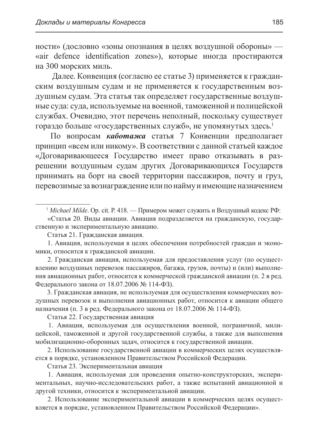ности» (дословно «зоны опознания в целях воздушной обороны» — «air defence identification zones»), которые иногда простираются на 300 морских миль.

Далее. Конвенция (согласно ее статье 3) применяется к гражданским воздушным судам и не применяется к государственным воздушным судам. Эта статья так определяет государственные воздушные суда: суда, используемые на военной, таможенной и полицейской службах. Очевидно, этот перечень неполный, поскольку существует гораздо больше «государственных служб», не упомянутых здесь.<sup>1</sup>

По вопросам **каботажа** статья 7 Конвенции предполагает принцип «всем или никому». В соответствии с данной статьей каждое «Договаривающееся Государство имеет право отказывать в разрешении воздушным судам других Договаривающихся Государств принимать на борт на своей территории пассажиров, почту и груз, перевозимые за вознаграждение или по найму и имеющие назначением

Статья 21. Гражданская авиация.

2. Гражданская авиация, используемая для предоставления услуг (по осуществлению возлушных перевозок пассажиров, багажа, грузов, почты) и (или) выполнения авиационных работ, относится к коммерческой гражданской авиации (п. 2 в ред. Федерального закона от 18.07.2006 № 114-ФЗ).

3. Гражданская авиация, не используемая для осуществления коммерческих воздушных перевозок и выполнения авиационных работ, относится к авиации общего назначения (п. 3 в ред. Федерального закона от 18.07.2006 № 114-ФЗ).

Статья 22. Государственная авиация

1. Авиация, используемая для осуществления военной, пограничной, милицейской, таможенной и другой государственной службы, а также для выполнения мобилизационно-оборонных задач, относится к государственной авиации.

2. Использование государственной авиации в коммерческих целях осуществляется в порядке, установленном Правительством Российской Федерации.

Статья 23. Экспериментальная авиация

1. Авиация, используемая для проведения опытно-конструкторских, экспериментальных, научно-исследовательских работ, а также испытаний авиационной и другой техники, относится к экспериментальной авиации.

2. Использование экспериментальной авиации в коммерческих целях осуществляется в порядке, установленном Правительством Российской Федерации».

<sup>&</sup>lt;sup>1</sup> *Michael Milde*. Op. cit. P. 418. — Примером может служить и Воздушный кодекс РФ:

<sup>«</sup>Статья 20. Виды авиации. Авиация подразделяется на гражданскую, государственную и экспериментальную авиацию.

<sup>1.</sup> Авиация, используемая в целях обеспечения потребностей граждан и экономики, относится к гражданской авиации.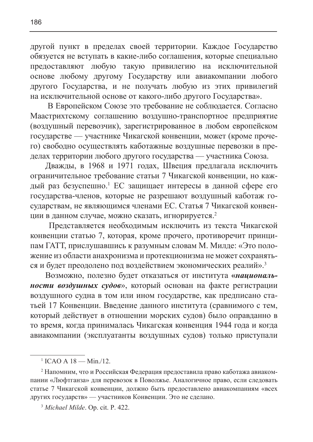другой пункт в пределах своей территории. Каждое Государство обязуется не вступать в какие-либо соглашения, которые специально предоставляют любую такую привилегию на исключительной основе любому другому Государству или авиакомпании любого другого Государства, и не получать любую из этих привилегий на исключительной основе от какого-либо другого Государства».

В Европейском Союзе это требование не соблюдается. Согласно Маастрихтскому соглашению воздушно-транспортное предприятие (воздушный перевозчик), зарегистрированное в любом европейском государстве — участнике Чикагской конвенции, может (кроме прочего) свободно осуществлять каботажные воздушные перевозки в пределах территории любого другого государства — участника Союза.

Дважды, в 1968 и 1971 годах, Швеция предлагала исключить ограничительное требование статьи 7 Чикагской конвенции, но каждый раз безуспешно.<sup>1</sup> ЕС защищает интересы в данной сфере его государства-членов, которые не разрешают воздушный каботаж гоcударствам, не являющимся членами ЕС. Статья 7 Чикагской конвенции в данном случае, можно сказать, игнорируется.<sup>2</sup>

Представляется необходимым исключить из текста Чикагской конвенции статью 7, которая, кроме прочего, противоречит принципам ГАТТ, прислушавшись к разумным словам М. Милде: «Это положение из области анахронизма и протекционизма не может сохраняться и будет преодолено под воздействием экономических реалий».<sup>3</sup>

Возможно, полезно будет отказаться от института «националь**ности воздушных судов»**, который основан на факте регистрации воздушного судна в том или ином государстве, как предписано статьей 17 Конвенции. Введение данного института (сравнимого с тем, который действует в отношении морских судов) было оправданно в то время, когда принималась Чикагская конвенция 1944 года и когда авиакомпании (эксплуатанты воздушных судов) только приступали

<sup>1</sup> ICAO A 18 — Min./12.

<sup>&</sup>lt;sup>2</sup> Напомним, что и Российская Федерация предоставила право каботажа авиакомпании «Люфтганза» для перевозок в Поволжье. Аналогичное право, если следовать статье 7 Чикагской конвенции, должно быть предоставлено авиакомпаниям «всех других государств» — участников Конвенции. Это не сделано.

<sup>3</sup> *Michael Milde*. Op. cit. P. 422.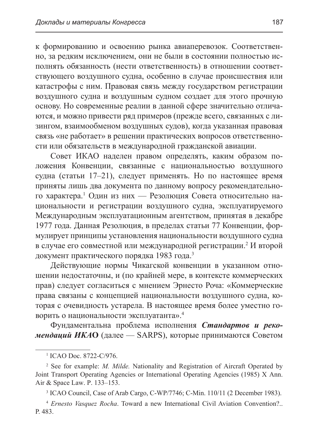к формированию и освоению рынка авиаперевозок. Соответственно, за релким исключением, они не были в состоянии полностью исполнять обязанность (нести ответственность) в отношении соответствующего воздушного судна, особенно в случае происшествия или катастрофы с ним. Правовая связь между государством регистрации воздушного судна и воздушным судном создает для этого прочную основу. Но современные реалии в данной сфере значительно отличаются, и можно привести ряд примеров (прежде всего, связанных с лизингом, взаимообменом воздушных судов), когда указанная правовая связь «не работает» в решении практических вопросов ответственности или обязательств в международной гражданской авиации.

Совет ИКАО наделен правом определять, каким образом положения Конвенции, связанные с национальностью воздушного судна (статьи 17–21), следует применять. Но по настоящее время приняты лишь два документа по данному вопросу рекомендательного характера.<sup>1</sup> Один из них — Резолюция Совета относительно национальности и регистрации воздушного судна, эксплуатируемого Международным эксплуатационным агентством, принятая в декабре 1977 года. Данная Резолюция, в пределах статьи 77 Конвенции, формулирует принципы установления национальности воздушного судна в случае его совместной или международной регистрации.<sup>2</sup> И второй документ практического порядка 1983 года.<sup>3</sup>

Действующие нормы Чикагской конвенции в указанном отношении недостаточны, и (по крайней мере, в контексте коммерческих прав) следует согласиться с мнением Эрнесто Роча: «Коммерческие права связаны с концепцией национальности воздушного судна, которая с очевидность устарела. В настоящее время более уместно говорить о национальности эксплуатанта».<sup>4</sup>

Фундаментальна проблема исполнения Стандартов и реко**мендаций ИКАО** (далее — SARPS), которые принимаются Советом

<sup>1</sup> ICAO Doc. 8722-C/976.

<sup>2</sup> See for example: *M. Milde.* Nationality and Registration of Aircraft Operated by Joint Transport Operating Agencies or International Operating Agencies (1985) X Ann. Air & Space Law. P. 133–153.

<sup>&</sup>lt;sup>3</sup> ICAO Council, Case of Arab Cargo, C-WP/7746; C-Min. 110/11 (2 December 1983).

<sup>4</sup> *Ernesto Vasquez Rocha*. Toward a new International Civil Aviation Convention?.. P. 483.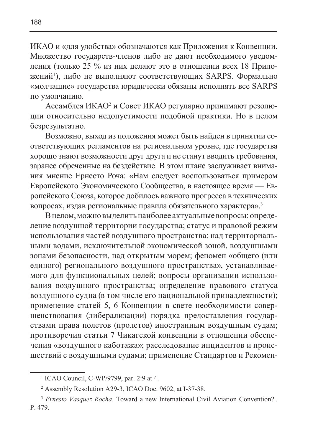ИКАО и «для удобства» обозначаются как Приложения к Конвенции. Множество государств-членов либо не дают необходимого уведомления (только 25 % из них делают это в отношении всех 18 Приложений<sup>1</sup>), либо не выполняют соответствующих SARPS. Формально «молчащие» государства юридически обязаны исполнять все SARPS по умолчанию.

Ассамблея ИКАО<sup>2</sup> и Совет ИКАО регулярно принимают резолюции относительно недопустимости подобной практики. Но в целом безрезультатно.

Возможно, выход из положения может быть найден в принятии соответствующих регламентов на региональном уровне, где государства хорошо знают возможности друг друга и не станут вводить требования, заранее обреченные на бездействие. В этом плане заслуживает внимания мнение Ернесто Роча: «Нам следует воспользоваться примером Европейского Экономического Сообщества, в настоящее время — Европейского Союза, которое добилось важного прогресса в технических вопросах, издав региональные правила обязательного характера».<sup>3</sup>

Вцелом, можно выделить наиболее актуальные вопросы: определение воздушной территории государства; статус и правовой режим использования частей воздушного пространства: над территориальными водами, исключительной экономической зоной, воздушными зонами безопасности, над открытым морем; феномен «общего (или единого) регионального воздушного пространства», устанавливаемого для функциональных целей; вопросы организации использования воздушного пространства; определение правового статуса воздушного судна (в том числе его национальной принадлежности); применение статей 5, 6 Конвенции в свете необходимости совершенствования (либерализации) порядка предоставления государствами права полетов (пролетов) иностранным воздушным судам; противоречия статьи 7 Чикагской конвенции в отношении обеспечения «воздушного каботажа»; расследование инцидентов и происшествий с воздушными судами; применение Стандартов и Рекомен-

<sup>1</sup> ICAO Council, C-WP/9799, par. 2:9 at 4.

<sup>2</sup> Assembly Resolution A29-3, ICAO Doc. 9602, at I-37-38.

<sup>&</sup>lt;sup>3</sup> *Ernesto Vasquez Rocha*. Toward a new International Civil Aviation Convention?.. Ɋ. 479.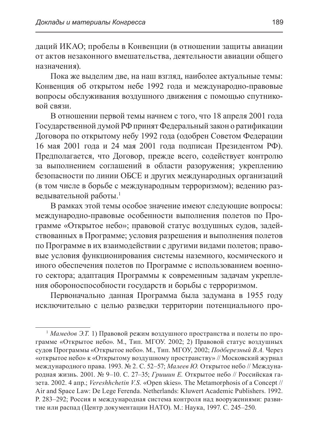даций ИКАО; пробелы в Конвенции (в отношении защиты авиации от актов незаконного вмешательства, деятельности авиации общего назначения).

Пока же выделим две, на наш взгляд, наиболее актуальные темы: Конвенция об открытом небе 1992 года и международно-правовые вопросы обслуживания воздушного движения с помощью спутниковой связи.

В отношении первой темы начнем с того, что 18 апреля 2001 года Государственной думой РФ принят Федеральный закон о ратификации Договора по открытому небу 1992 года (одобрен Советом Федерации 16 мая 2001 года и 24 мая 2001 года подписан Президентом РФ). Предполагается, что Договор, прежде всего, содействует контролю за выполнением соглашений в области разоружения; укреплению безопасности по линии ОБСЕ и других международных организаций (в том числе в борьбе с международным терроризмом); ведению разведывательной работы.<sup>1</sup>

В рамках этой темы особое значение имеют следующие вопросы: международно-правовые особенности выполнения полетов по Программе «Открытое небо»; правовой статус воздушных судов, задействованных в Программе; условия разрешения и выполнения полетов по Программе в их взаимодействии с другими видами полетов; правовые условия функционирования системы наземного, космического и иного обеспечения полетов по Программе с использованием военного сектора; адаптация Программы к современным задачам укрепления обороноспособности государств и борьбы с терроризмом.

Первоначально данная Программа была задумана в 1955 году исключительно с целью разведки территории потенциального про-

<sup>&</sup>lt;sup>1</sup> Мамедов Э.Т. 1) Правовой режим воздушного пространства и полеты по программе «Открытое небо». М., Тип. МГОУ. 2002; 2) Правовой статус воздушных судов Программы «Открытое небо». М., Тип. МГОУ, 2002; Подберезный В.А. Через «открытое небо» к «Открытому воздушному пространству» // Московский журнал международного права. 1993. № 2. С. 52–57; Малеев Ю. Открытое небо // Международная жизнь. 2001. № 9–10. С. 27–35; *Гришин Е*. Открытое небо // Российская гаɡɟɬɚ. 2002. 4 ɚɩɪ.; *Vereshhchetin V.S.* «Open skies». The Metamorphosis of a Concept // Air and Space Law: De Lege Ferenda. Netherlands: Kluwert Academic Publishers. 1992. Р. 283–292; Россия и международная система контроля над вооружениями: развитие или распад (Центр документации НАТО). М.: Наука, 1997. С. 245–250.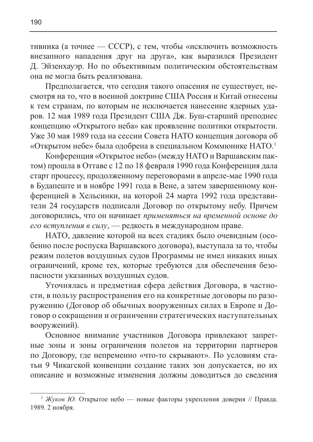тивника (а точнее — СССР), с тем, чтобы «исключить возможность внезапного нападения друг на друга», как выразился Президент Д. Эйзенхауэр. Но по объективным политическим обстоятельствам она не могла быть реализована.

Предполагается, что сегодня такого опасения не существует, несмотря на то, что в военной доктрине США Россия и Китай отнесены к тем странам, по которым не исключается нанесение ядерных ударов. 12 мая 1989 года Президент США Дж. Буш-старший преподнес концепцию «Открытого неба» как проявление политики открытости. Уже 30 мая 1989 года на сессии Совета НАТО концепция договора об «Открытом небе» была одобрена в специальном Коммюнике НАТО.<sup>1</sup>

Конференция «Открытое небо» (между НАТО и Варшавским пактом) прошла в Оттаве с 12 по 18 февраля 1990 года Конференция дала старт процессу, продолженному переговорами в апреле-мае 1990 года в Будапеште и в ноябре 1991 года в Вене, а затем завершенному конференцией в Хельсинки, на которой 24 марта 1992 года представители 24 государств подписали Договор по открытому небу. Причем договорились, что он начинает применяться на временной основе до его вступления в силу, — редкость в международном праве.

НАТО, давление которой на всех стадиях было очевидным (особенно после роспуска Варшавского договора), выступала за то, чтобы режим полетов воздушных судов Программы не имел никаких иных ограничений, кроме тех, которые требуются для обеспечения безопасности указанных воздушных судов.

Уточнялась и предметная сфера действия Договора, в частности, в пользу распространения его на конкретные договоры по разоружению (Договор об обычных вооруженных силах в Европе и Договор о сокращении и ограничении стратегических наступательных вооружений).

Основное внимание участников Договора привлекают запретные зоны и зоны ограничения полетов на территории партнеров по Договору, где непременно «что-то скрывают». По условиям статьи 9 Чикагской конвенции создание таких зон допускается, но их описание и возможные изменения должны доводиться до сведения

<sup>&</sup>lt;sup>1</sup> Жуков Ю. Открытое небо — новые факторы укрепления доверия // Правда. 1989. 2 ноября.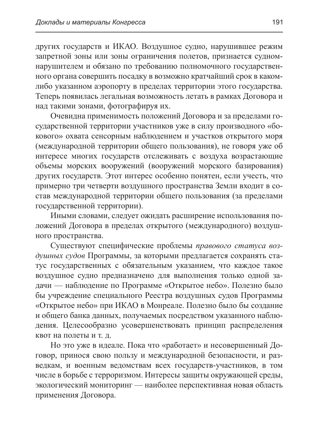других государств и ИКАО. Воздушное судно, нарушившее режим запретной зоны или зоны ограничения полетов, признается судномнарушителем и обязано по требованию полномочного государственного органа совершить посадку в возможно кратчайший срок в какомлибо указанном аэропорту в пределах территории этого государства. Теперь появилась легальная возможность летать в рамках Договора и над такими зонами, фотографируя их.

Очевидна применимость положений Договора и за пределами государственной территории участников уже в силу производного «бокового» охвата сенсорным наблюдением и участков открытого моря (международной территории общего пользования), не говоря уже об интересе многих государств отслеживать с воздуха возрастающие объемы морских вооружений (вооружений морского базирования) других государств. Этот интерес особенно понятен, если учесть, что примерно три четверти воздушного пространства Земли входит в состав международной территории общего пользования (за пределами государственной территории).

Иными словами, следует ожидать расширение использования положений Договора в пределах открытого (международного) воздушного пространства.

Существуют специфические проблемы правового статуса воздушных судов Программы, за которыми предлагается сохранять статус государственных с обязательным указанием, что каждое такое воздушное судно предназначено для выполнения только одной задачи — наблюдение по Программе «Открытое небо». Полезно было бы учреждение специального Реестра воздушных судов Программы «Открытое небо» при ИКАО в Монреале. Полезно было бы создание и общего банка данных, получаемых посредством указанного наблюдения. Целесообразно усовершенствовать принцип распределения квот на полеты и т. д.

Но это уже в идеале. Пока что «работает» и несовершенный Договор, принося свою пользу и международной безопасности, и разведкам, и военным ведомствам всех государств-участников, в том числе в борьбе с терроризмом. Интересы защиты окружающей среды, экологический мониторинг — наиболее перспективная новая область применения Логовора.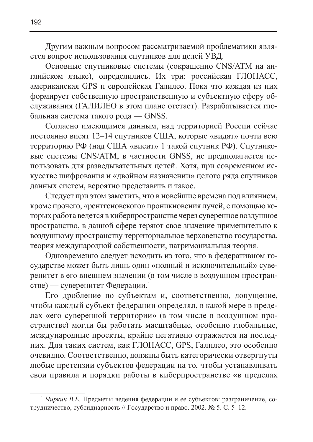Другим важным вопросом рассматриваемой проблематики является вопрос использования спутников для целей УВД.

Основные спутниковые системы (сокращенно CNS/ATM на английском языке), определились. Их три: российская ГЛОНАСС, американская GPS и европейская Галилео. Пока что каждая из них формирует собственную пространственную и субъектную сферу обслуживания (ГАЛИЛЕО в этом плане отстает). Разрабатывается глобальная система такого рода — GNSS.

Согласно имеющимся данным, над территорией России сейчас постоянно висят 12–14 спутников США, которые «видят» почти всю территорию РФ (над США «висит» 1 такой спутник РФ). Спутниковые системы CNS/ATM, в частности GNSS, не предполагается использовать для разведывательных целей. Хотя, при современном искусстве шифрования и «двойном назначении» целого ряда спутников данных систем, вероятно представить и такое.

Следует при этом заметить, что в новейшие времена под влиянием, кроме прочего, «рентгеновского» проникновения лучей, с помощью которых работа ведется в киберпространстве через суверенное воздушное пространство, в данной сфере теряют свое значение применительно к воздушному пространству территориальное верховенство государства, теория международной собственности, патримониальная теория.

Одновременно следует исходить из того, что в федеративном государстве может быть лишь один «полный и исключительный» суверенитет в его внешнем значении (в том числе в воздушном пространстве) — суверенитет Федерации.<sup>1</sup>

Его дробление по субъектам и, соответственно, допущение, чтобы каждый субъект федерации определял, в какой мере в пределах «его суверенной территории» (в том числе в воздушном пространстве) могли бы работать масштабные, особенно глобальные, международные проекты, крайне негативно отражается на последних. Для таких систем, как ГЛОНАСС, GPS, Галилео, это особенно очевидно. Соответственно, должны быть категорически отвергнуты любые претензии субъектов федерации на то, чтобы устанавливать свои правила и порядки работы в киберпространстве «в пределах

<sup>&</sup>lt;sup>1</sup> Чиркин В.Е. Предметы ведения федерации и ее субъектов: разграничение, сотрудничество, субсидиарность // Государство и право. 2002. № 5. С. 5–12.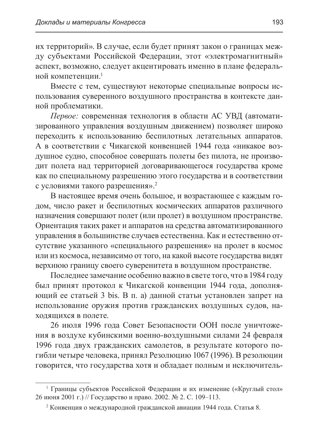их территорий». В случае, если будет принят закон о границах между субъектами Российской Федерации, этот «электромагнитный» аспект, возможно, следует акцентировать именно в плане федеральной компетенции.<sup>1</sup>

Вместе с тем, существуют некоторые специальные вопросы использования суверенного воздушного пространства в контексте данной проблематики.

*Первое:* современная технология в области АС УВД (автоматизированного управления воздушным движением) позволяет широко переходить к использованию беспилотных летательных аппаратов. А в соответствии с Чикагской конвенцией 1944 года «никакое воздушное судно, способное совершать полеты без пилота, не производит полета над территорией договаривающегося государства кроме как по специальному разрешению этого государства и в соответствии с условиями такого разрешения».<sup>2</sup>

В настоящее время очень большое, и возрастающее с каждым годом, число ракет и беспилотных космических аппаратов различного назначения совершают полет (или пролет) в воздушном пространстве. Ориентация таких ракет и аппаратов на средства автоматизированного управления в большинстве случаев естественна. Как и естественно отсутствие указанного «специального разрешения» на пролет в космос или из космоса, независимо от того, на какой высоте государства видят верхнюю границу своего суверенитета в воздушном пространстве.

Последнее замечание особенно важно в свете того, что в 1984 году был принят протокол к Чикагской конвенции 1944 года, дополняющий ее статьей 3 bis. В п. а) данной статьи установлен запрет на использование оружия против гражданских воздушных судов, находящихся в полете.

26 июля 1996 года Совет Безопасности ООН после уничтожения в воздухе кубинскими военно-воздушными силами 24 февраля 1996 года двух гражданских самолетов, в результате которого погибли четыре человека, принял Резолюцию 1067 (1996). В резолюции говорится, что государства хотя и обладает полным и исключитель-

<sup>&</sup>lt;sup>1</sup> Границы субъектов Российской Федерации и их изменение («Круглый стол» 26 июня 2001 г.) // Государство и право. 2002. № 2. С. 109–113.

<sup>&</sup>lt;sup>2</sup> Конвенция о международной гражданской авиации 1944 года. Статья 8.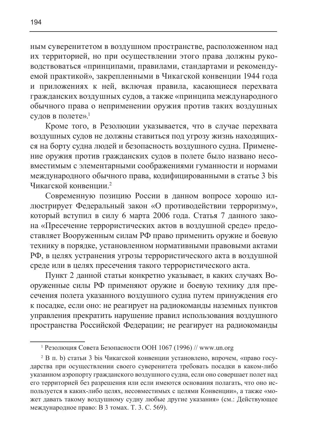ным суверенитетом в воздушном пространстве, расположенном над их территорией, но при осуществлении этого права должны руководствоваться «принципами, правилами, стандартами и рекомендуемой практикой», закрепленными в Чикагской конвенции 1944 года и приложениях к ней, включая правила, касающиеся перехвата гражданских воздушных судов, а также «принципа международного обычного права о неприменении оружия против таких воздушных судов в полете».<sup>1</sup>

Кроме того, в Резолюции указывается, что в случае перехвата воздушных судов не должны ставиться под угрозу жизнь находящихся на борту судна людей и безопасность воздушного судна. Применение оружия против гражданских судов в полете было названо несовместимым с элементарными соображениями гуманности и нормами международного обычного права, кодифицированными в статье 3 bis Чикагской конвенции.<sup>2</sup>

Современную позицию России в данном вопросе хорошо иллюстрирует Федеральный закон «О противодействии терроризму», который вступил в силу 6 марта 2006 года. Статья 7 данного закона «Пресечение террористических актов в воздушной среде» предоставляет Вооруженным силам РФ право применить оружие и боевую технику в порядке, установленном нормативными правовыми актами РФ, в целях устранения угрозы террористического акта в воздушной среде или в целях пресечения такого террористического акта.

Пункт 2 данной статьи конкретно указывает, в каких случаях Вооруженные силы РФ применяют оружие и боевую технику для пресечения полета указанного воздушного судна путем принуждения его к посадке, если оно: не реагирует на радиокоманды наземных пунктов управления прекратить нарушение правил использования воздушного пространства Российской Федерации; не реагирует на радиокоманды

<sup>&</sup>lt;sup>1</sup> Резолюция Совета Безопасности ООН 1067 (1996) // www.un.org

 $2$  В п. b) статьи 3 bis Чикагской конвенции установлено, впрочем, «право государства при осуществлении своего суверенитета требовать посадки в каком-либо указанном аэропорту гражданского воздушного судна, если оно совершает полет над его территорией без разрешения или если имеются основания полагать, что оно используется в каких-либо целях, несовместимых с целями Конвенции», а также «может давать такому воздушному судну любые другие указания» (см.: Действующее международное право: В 3 томах. Т. 3. С. 569).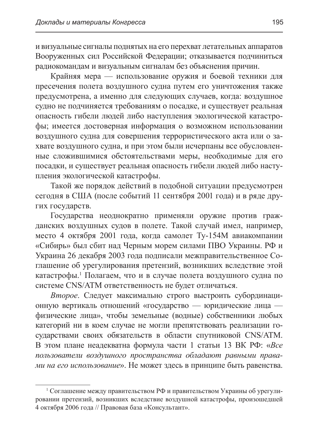и визуальные сигналы поднятых на его перехват летательных аппаратов Вооруженных сил Российской Фелерации: отказывается полчиниться радиокомандам и визуальным сигналам без объяснения причин.

Крайняя мера — использование оружия и боевой техники для пресечения полета воздушного судна путем его уничтожения также предусмотрена, а именно для следующих случаев, когда: воздушное судно не подчиняется требованиям о посадке, и существует реальная опасность гибели людей либо наступления экологической катастрофы; имеется достоверная информация о возможном использовании воздушного судна для совершения террористического акта или о захвате воздушного судна, и при этом были исчерпаны все обусловленные сложившимися обстоятельствами меры, необходимые для его посадки, и существует реальная опасность гибели людей либо наступления экологической катастрофы.

Такой же порядок действий в подобной ситуации предусмотрен сегодня в США (после событий 11 сентября 2001 года) и в ряде других государств.

Государства неоднократно применяли оружие против гражданских воздушных судов в полете. Такой случай имел, например, место 4 октября 2001 года, когда самолет Ту-154М авиакомпании «Сибирь» был сбит над Черным морем силами ПВО Украины. РФ и Украина 26 декабря 2003 года подписали межправительственное Соглашение об урегулирования претензий, возникших вследствие этой катастрофы.<sup>1</sup> Полагаем, что и в случае полета воздушного судна по системе CNS/ATM ответственность не будет отличаться.

Второе. Следует максимально строго выстроить субординационную вертикаль отношений «государство — юридические лица физические лица», чтобы земельные (водные) собственники любых категорий ни в коем случае не могли препятствовать реализации государствами своих обязательств в области спутниковой CNS/ATM. В этом плане неадекватна формула части 1 статьи 13 ВК РФ: «*Все* пользователи воздушного пространства обладают равными права*ми на его использование»*. Не может здесь в принципе быть равенства.

<sup>&</sup>lt;sup>1</sup> Соглашение между правительством РФ и правительством Украины об урегулировании претензий, возникших вследствие воздушной катастрофы, произошедшей 4 октября 2006 года // Правовая база «Консультант».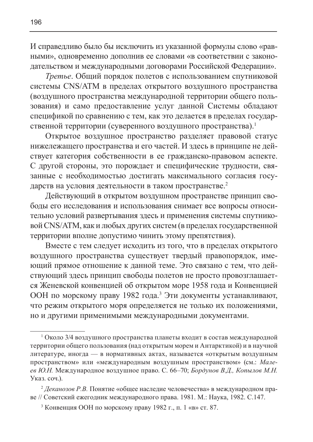И справедливо было бы исключить из указанной формулы слово «рав-НЫМИ», ОЛНОВРЕМЕННО ЛОПОЛНИВ ЕЕ СЛОВАМИ «В СООТВЕТСТВИИ С ЗАКОНОдательством и международными договорами Российской Федерации».

Третье. Общий порядок полетов с использованием спутниковой системы CNS/ATM в пределах открытого воздушного пространства (воздушного пространства международной территории общего пользования) и само предоставление услуг данной Системы обладают спецификой по сравнению с тем, как это делается в пределах государственной территории (суверенного воздушного пространства).<sup>1</sup>

Открытое воздушное пространство разделяет правовой статус нижележащего пространства и его частей. И здесь в принципе не действует категория собственности в ее гражданско-правовом аспекте. С другой стороны, это порождает и специфические трудности, связанные с необходимостью достигать максимального согласия государств на условия деятельности в таком пространстве.<sup>2</sup>

Действующий в открытом воздушном пространстве принцип свободы его исследования и использования снимает все вопросы относительно условий развертывания здесь и применения системы спутниковой CNS/ATM, как и любых других систем (в пределах государственной территории вполне допустимо чинить этому препятствия).

Вместе с тем следует исходить из того, что в пределах открытого воздушного пространства существует твердый правопорядок, имеющий прямое отношение к данной теме. Это связано с тем, что действующий здесь принцип свободы полетов не просто провозглашается Женевской конвенцией об открытом море 1958 года и Конвенцией ООН по морскому праву 1982 года.<sup>3</sup> Эти документы устанавливают, что режим открытого моря определяется не только их положениями, но и другими применимыми международными документами.

<sup>&</sup>lt;sup>1</sup> Около 3/4 воздушного пространства планеты входит в состав международной территории общего пользования (над открытым морем и Антарктикой) и в научной литературе, иногда — в нормативных актах, называется «открытым воздушным пространством» или «международным воздушным пространством» (см.: Мале $e$ *в Ю.Н.* Международное воздушное право. С. 66–70; Бордунов В.Д., Копылов М.Н. Указ. соч.).

<sup>&</sup>lt;sup>2</sup> Деканозов Р.В. Понятие «общее наследие человечества» в международном праве // Советский ежегодник международного права. 1981. М.: Наука, 1982. С.147.

<sup>&</sup>lt;sup>3</sup> Конвенция ООН по морскому праву 1982 г., п. 1 «в» ст. 87.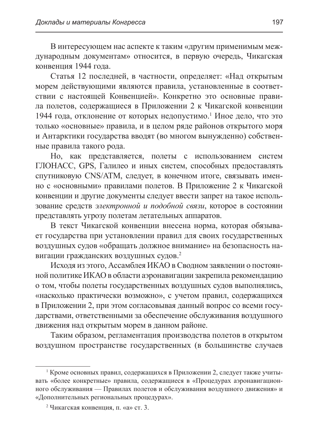В интересующем нас аспекте к таким «другим применимым международным документам» относится, в первую очередь. Чикагская конвенция 1944 года.

Статья 12 последней, в частности, определяет: «Над открытым морем действующими являются правила, установленные в соответствии с настоящей Конвенцией». Конкретно это основные правила полетов, содержащиеся в Приложении 2 к Чикагской конвенции 1944 года, отклонение от которых недопустимо.<sup>1</sup> Иное дело, что это только «основные» правила, и в целом ряде районов открытого моря и Антарктики государства вводят (во многом вынужденно) собственные правила такого рода.

Но, как представляется, полеты с использованием систем ГЛОНАСС, GPS, Галилео и иных систем, способных предоставлять спутниковую CNS/ATM, следует, в конечном итоге, связывать именно с «основными» правилами полетов. В Приложение 2 к Чикагской конвенции и другие документы следует ввести запрет на такое использование средств электронной и подобной связи, которое в состоянии представлять угрозу полетам летательных аппаратов.

В текст Чикагской конвенции внесена норма, которая обязывает государства при установлении правил для своих государственных воздушных судов «обращать должное внимание» на безопасность навигации гражданских воздушных судов.<sup>2</sup>

Исходя из этого, Ассамблея ИКАО в Сводном заявлении о постоянной политике ИКАО в области аэронавигации закрепила рекомендацию о том, чтобы полеты государственных воздушных судов выполнялись, «насколько практически возможно», с учетом правил, содержащихся в Приложении 2, при этом согласовывая данный вопрос со всеми государствами, ответственными за обеспечение обслуживания воздушного движения над открытым морем в данном районе.

Таким образом, регламентация производства полетов в открытом воздушном пространстве государственных (в большинстве случаев

<sup>&</sup>lt;sup>1</sup> Кроме основных правил, содержащихся в Приложении 2, следует также учитывать «более конкретные» правила, содержащиеся в «Процедурах аэронавигационного обслуживания — Правилах полетов и обслуживания воздушного движения» и «Дополнительных региональных процедурах».

 $2 \text{ YHKarc}$ кая конвенция, п. «а» ст. 3.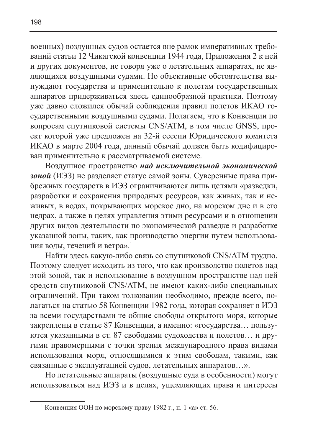военных) воздушных судов остается вне рамок императивных требований статьи 12 Чикагской конвенции 1944 года, Приложения 2 к ней и других документов, не говоря уже о летательных аппаратах, не являющихся воздушными судами. Но объективные обстоятельства вынуждают государства и применительно к полетам государственных аппаратов придерживаться здесь единообразной практики. Поэтому уже давно сложился обычай соблюдения правил полетов ИКАО государственными воздушными судами. Полагаем, что в Конвенции по вопросам спутниковой системы CNS/ATM, в том числе GNSS, проект которой уже предложен на 32-й сессии Юридического комитета ИКАО в марте 2004 года, данный обычай должен быть кодифицирован применительно к рассматриваемой системе.

Воздушное пространство над исключительной экономической зоной (ИЭЗ) не разделяет статус самой зоны. Суверенные права прибрежных государств в ИЭЗ ограничиваются лишь целями «разведки, разработки и сохранения природных ресурсов, как живых, так и неживых, в водах, покрывающих морское дно, на морском дне и в его недрах, а также в целях управления этими ресурсами и в отношении других видов деятельности по экономической разведке и разработке указанной зоны, таких, как производство энергии путем использования воды, течений и ветра».<sup>1</sup>

Найти здесь какую-либо связь со спутниковой CNS/ATM трудно. Поэтому следует исходить из того, что как производство полетов над этой зоной, так и использование в воздушном пространстве над ней средств спутниковой CNS/ATM, не имеют каких-либо специальных ограничений. При таком толковании необходимо, прежде всего, полагаться на статью 58 Конвенции 1982 года, которая сохраняет в ИЭЗ за всеми государствами те общие свободы открытого моря, которые закреплены в статье 87 Конвенции, а именно: «государства... пользуются указанными в ст. 87 свободами судоходства и полетов... и другими правомерными с точки зрения международного права видами использования моря, относящимися к этим свободам, такими, как связанные с эксплуатацией судов, летательных аппаратов...».

Но летательные аппараты (воздушные суда в особенности) могут использоваться над ИЭЗ и в целях, ущемляющих права и интересы

<sup>&</sup>lt;sup>1</sup> Конвенция ООН по морскому праву 1982 г., п. 1 «а» ст. 56.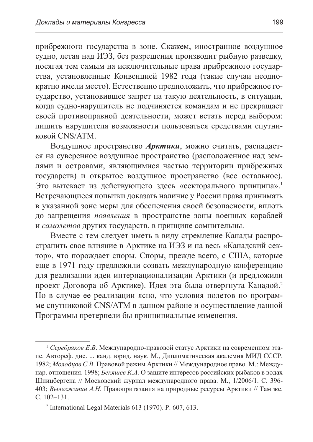прибрежного государства в зоне. Скажем, иностранное воздушное судно, летая над ИЭЗ, без разрешения производит рыбную разведку, посягая тем самым на исключительные права прибрежного государства, установленные Конвенцией 1982 года (такие случаи неоднократно имели место). Естественно предположить, что прибрежное государство, установившее запрет на такую деятельность, в ситуации, когда судно-нарушитель не подчиняется командам и не прекращает своей противоправной деятельности, может встать перед выбором: лишить нарушителя возможности пользоваться средствами спутниковой CNS/ATM.

Воздушное пространство Арктики, можно считать, распадается на суверенное воздушное пространство (расположенное над землями и островами, являющимися частью территории прибрежных государств) и открытое воздушное пространство (все остальное). Это вытекает из действующего здесь «секторального принципа».<sup>1</sup> Встречающиеся попытки доказать наличие у России права принимать в указанной зоне меры для обеспечения своей безопасности, вплоть до запрещения появления в пространстве зоны военных кораблей и самолетов других государств, в принципе сомнительны.

Вместе с тем следует иметь в виду стремление Канады распространить свое влияние в Арктике на ИЭЗ и на весь «Канадский сектор», что порождает споры. Споры, прежде всего, с США, которые еще в 1971 году предложили созвать международную конференцию для реализации идеи интернационализации Арктики (и предложили проект Договора об Арктике). Идея эта была отвергнута Канадой.<sup>2</sup> Но в случае ее реализации ясно, что условия полетов по программе спутниковой CNS/ATM в данном районе и осуществление данной Программы претерпели бы принципиальные изменения.

<sup>&</sup>lt;sup>1</sup> Серебряков Е.В. Международно-правовой статус Арктики на современном этапе. Автореф. дис. ... канд. юрид. наук. М., Дипломатическая академия МИД СССР. 1982; *Молодцов С.В.* Правовой режим Арктики // Международное право. М.: Междунар. отношения. 1998; *Бекяшев К.А.* О защите интересов российских рыбаков в водах Шпицбергена // Московский журнал международного права. М., 1/2006/1. С. 396-403; Вылегжанин А.Н. Правопритязания на природные ресурсы Арктики // Там же. ɋ. 102–131.

<sup>2</sup> International Legal Materials 613 (1970). P. 607, 613.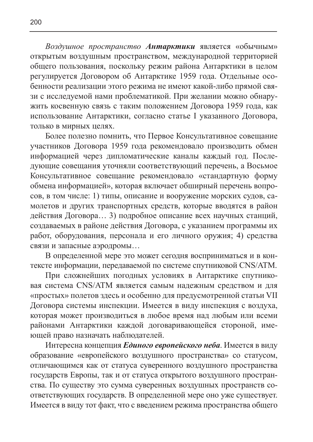Воздушное пространство Антарктики является «обычным» открытым воздушным пространством, международной территорией общего пользования, поскольку режим района Антарктики в целом регулируется Договором об Антарктике 1959 года. Отдельные особенности реализации этого режима не имеют какой-либо прямой связи с исследуемой нами проблематикой. При желании можно обнаружить косвенную связь с таким положением Договора 1959 года, как использование Антарктики, согласно статье I указанного Договора, только в мирных целях.

Более полезно помнить, что Первое Консультативное совещание участников Договора 1959 года рекомендовало производить обмен информацией через дипломатические каналы каждый год. Последующие совещания уточняли соответствующий перечень, а Восьмое Консультативное совещание рекомендовало «стандартную форму обмена информацией», которая включает обширный перечень вопросов, в том числе: 1) типы, описание и вооружение морских судов, самолетов и других транспортных средств, которые вводятся в район действия Договора... 3) подробное описание всех научных станций, создаваемых в районе действия Договора, с указанием программы их работ, оборудования, персонала и его личного оружия; 4) средства связи и запасные аэродромы...

В определенной мере это может сегодня восприниматься и в контексте информации, передаваемой по системе спутниковой CNS/ATM.

При сложнейших погодных условиях в Антарктике спутниковая система CNS/ATM является самым надежным средством и для «простых» полетов здесь и особенно для предусмотренной статьи VII Договора системы инспекции. Имеется в виду инспекция с воздуха, которая может производиться в любое время над любым или всеми районами Антарктики каждой договаривающейся стороной, имеющей право назначать наблюдателей.

Интересна концепция Единого европейского неба. Имеется в виду образование «европейского воздушного пространства» со статусом, отличающимся как от статуса суверенного воздушного пространства государств Европы, так и от статуса открытого воздушного пространства. По существу это сумма суверенных воздушных пространств соответствующих государств. В определенной мере оно уже существует. Имеется в виду тот факт, что с введением режима пространства общего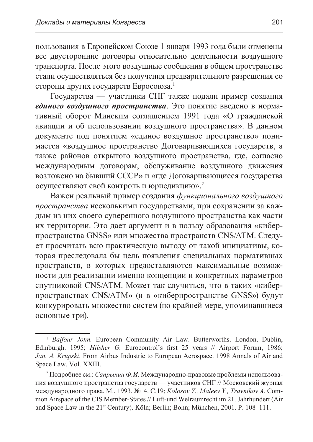пользования в Европейском Союзе 1 января 1993 года были отменены все двусторонние договоры относительно деятельности воздушного транспорта. После этого воздушные сообщения в общем пространстве стали осуществляться без получения предварительного разрешения со стороны других государств Евросоюза.<sup>1</sup>

Государства — участники СНГ также подали пример создания **единого воздушного пространства**. Это понятие введено в нормативный оборот Минским соглашением 1991 года «О гражданской авиации и об использовании воздушного пространства». В данном документе под понятием «единое воздушное пространство» понимается «воздушное пространство Договаривающихся государств, а также районов открытого воздушного пространства, где, согласно международным договорам, обслуживание воздушного движения возложено на бывший СССР» и «где Договаривающиеся государства осуществляют свой контроль и юрисдикцию».<sup>2</sup>

Важен реальный пример создания функционального воздушного пространства несколькими государствами, при сохранении за каждым из них своего суверенного воздушного пространства как части их территории. Это дает аргумент и в пользу образования «киберпространства GNSS» или множества пространств CNS/ATM. Следует просчитать всю практическую выгоду от такой инициативы, которая преследовала бы цель появления специальных нормативных пространств, в которых предоставляются максимальные возможности для реализации именно концепции и конкретных параметров спутниковой CNS/ATM. Может так случиться, что в таких «киберпространствах CNS/ATM» (и в «киберпространстве GNSS») будут конкурировать множество систем (по крайней мере, упоминавшиеся основные три).

<sup>&</sup>lt;sup>1</sup> *Balfour John.* European Community Air Law. Butterworths. London, Dublin, Edinburgh. 1995; *Hilsher G.* Eurocontrol's first 25 years // Airport Forum, 1986; *Jan. A. Krupski*. From Airbus Industrie to European Aerospace. 1998 Annals of Air and Space Law. Vol. XXIII.

<sup>&</sup>lt;sup>2</sup> Подробнее см.: *Сапрыкин Ф.И.* Международно-правовые проблемы использования воздушного пространства государств — участников СНГ // Московский журнал международного права. М., 1993. № 4. С.19; *Kolosov Y., Maleev Y., Travnikov A.* Common Airspace of the CIS Member-States // Luft-und Welraumrecht im 21. Jahrhundert (Air and Space Law in the 21st Century). Köln; Berlin; Bonn; München, 2001. P. 108–111.